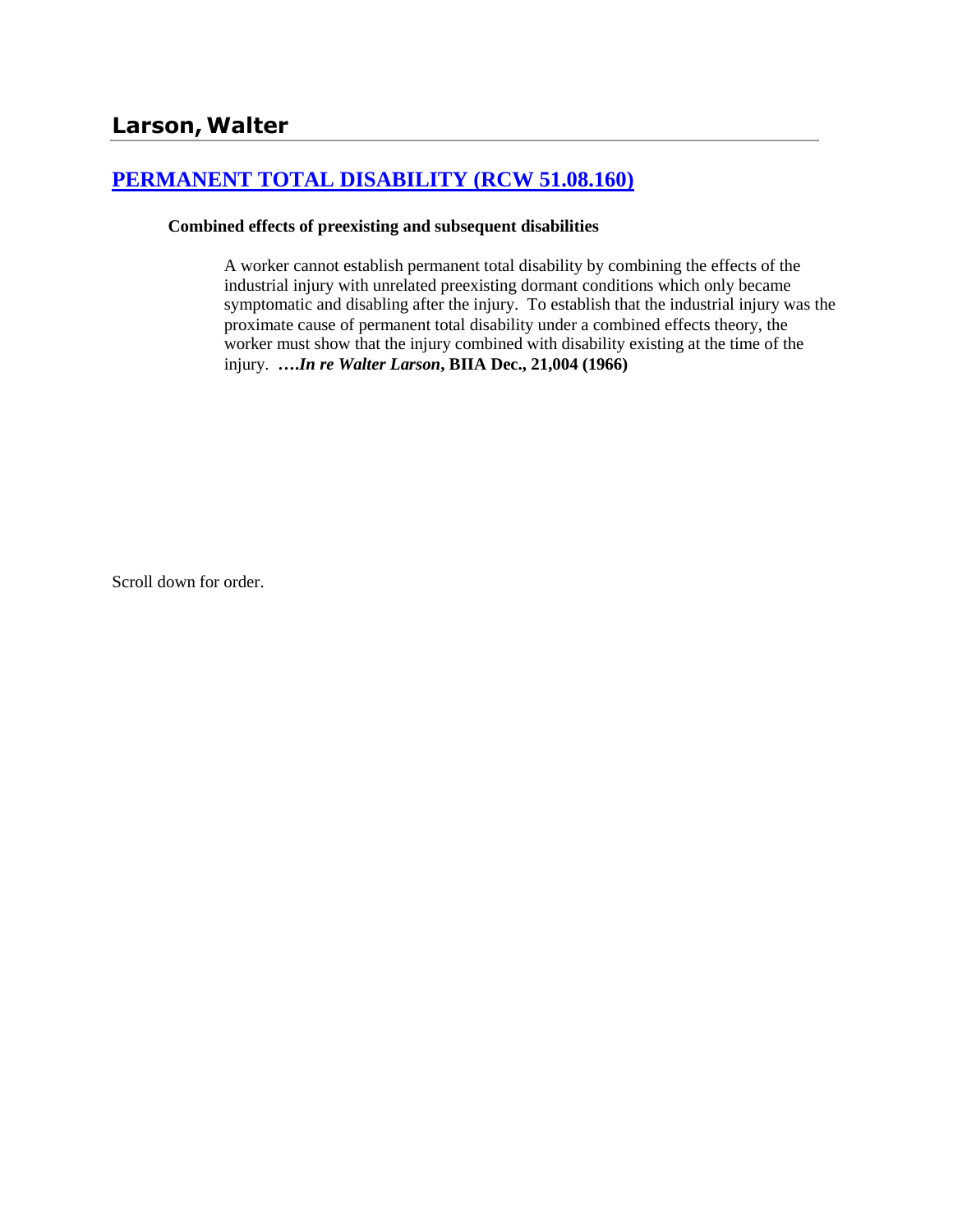# **[PERMANENT TOTAL DISABILITY \(RCW 51.08.160\)](http://www.biia.wa.gov/SDSubjectIndex.html#PERMANENT_TOTAL_DISABILITY)**

### **Combined effects of preexisting and subsequent disabilities**

A worker cannot establish permanent total disability by combining the effects of the industrial injury with unrelated preexisting dormant conditions which only became symptomatic and disabling after the injury. To establish that the industrial injury was the proximate cause of permanent total disability under a combined effects theory, the worker must show that the injury combined with disability existing at the time of the injury. **….***In re Walter Larson***, BIIA Dec., 21,004 (1966)** 

Scroll down for order.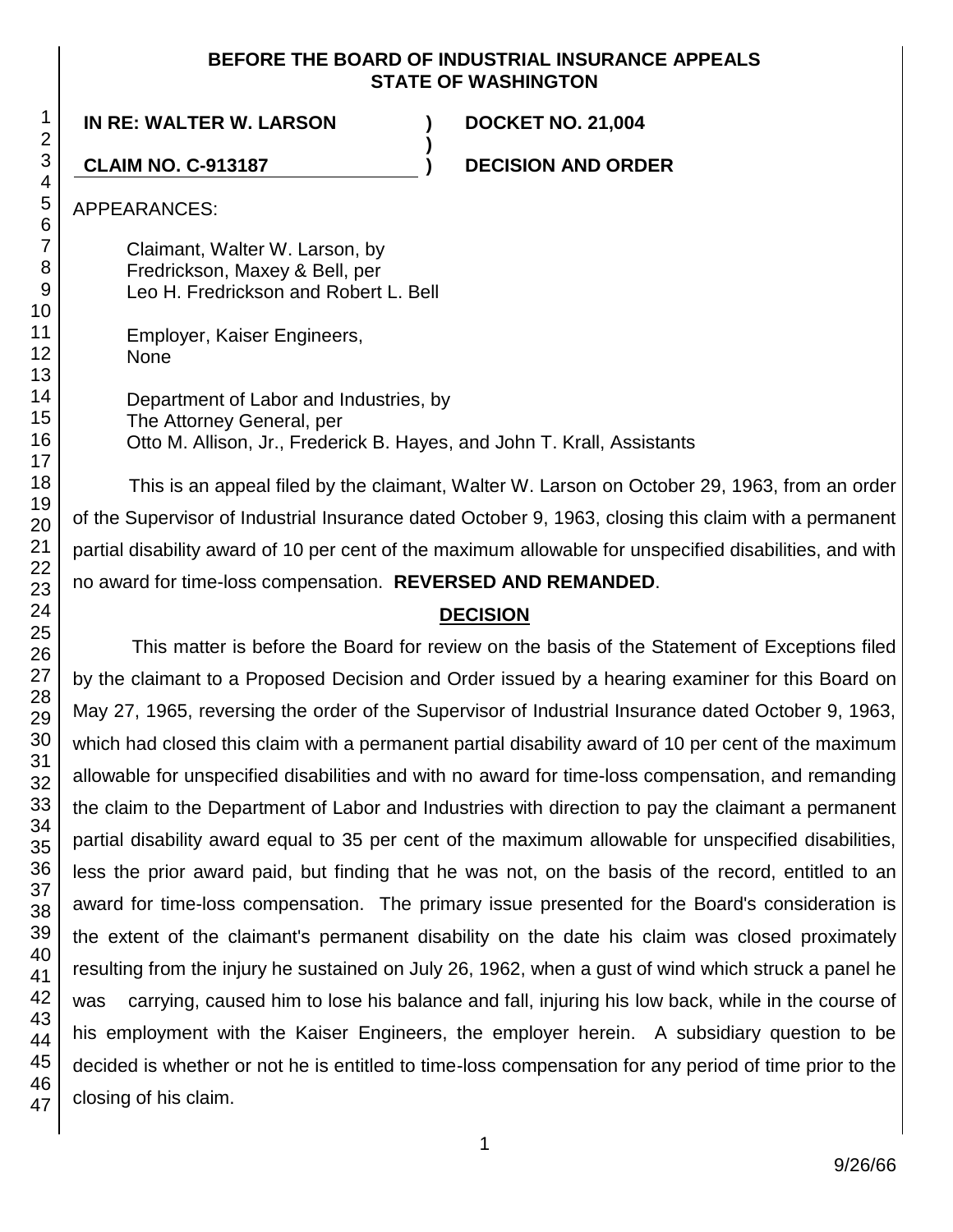## **BEFORE THE BOARD OF INDUSTRIAL INSURANCE APPEALS STATE OF WASHINGTON**

**)**

**IN RE: WALTER W. LARSON ) DOCKET NO. 21,004**

**CLAIM NO. C-913187 ) DECISION AND ORDER**

APPEARANCES:

Claimant, Walter W. Larson, by Fredrickson, Maxey & Bell, per Leo H. Fredrickson and Robert L. Bell

Employer, Kaiser Engineers, None

Department of Labor and Industries, by The Attorney General, per Otto M. Allison, Jr., Frederick B. Hayes, and John T. Krall, Assistants

This is an appeal filed by the claimant, Walter W. Larson on October 29, 1963, from an order of the Supervisor of Industrial Insurance dated October 9, 1963, closing this claim with a permanent partial disability award of 10 per cent of the maximum allowable for unspecified disabilities, and with no award for time-loss compensation. **REVERSED AND REMANDED**.

## **DECISION**

This matter is before the Board for review on the basis of the Statement of Exceptions filed by the claimant to a Proposed Decision and Order issued by a hearing examiner for this Board on May 27, 1965, reversing the order of the Supervisor of Industrial Insurance dated October 9, 1963, which had closed this claim with a permanent partial disability award of 10 per cent of the maximum allowable for unspecified disabilities and with no award for time-loss compensation, and remanding the claim to the Department of Labor and Industries with direction to pay the claimant a permanent partial disability award equal to 35 per cent of the maximum allowable for unspecified disabilities, less the prior award paid, but finding that he was not, on the basis of the record, entitled to an award for time-loss compensation. The primary issue presented for the Board's consideration is the extent of the claimant's permanent disability on the date his claim was closed proximately resulting from the injury he sustained on July 26, 1962, when a gust of wind which struck a panel he was carrying, caused him to lose his balance and fall, injuring his low back, while in the course of his employment with the Kaiser Engineers, the employer herein. A subsidiary question to be decided is whether or not he is entitled to time-loss compensation for any period of time prior to the closing of his claim.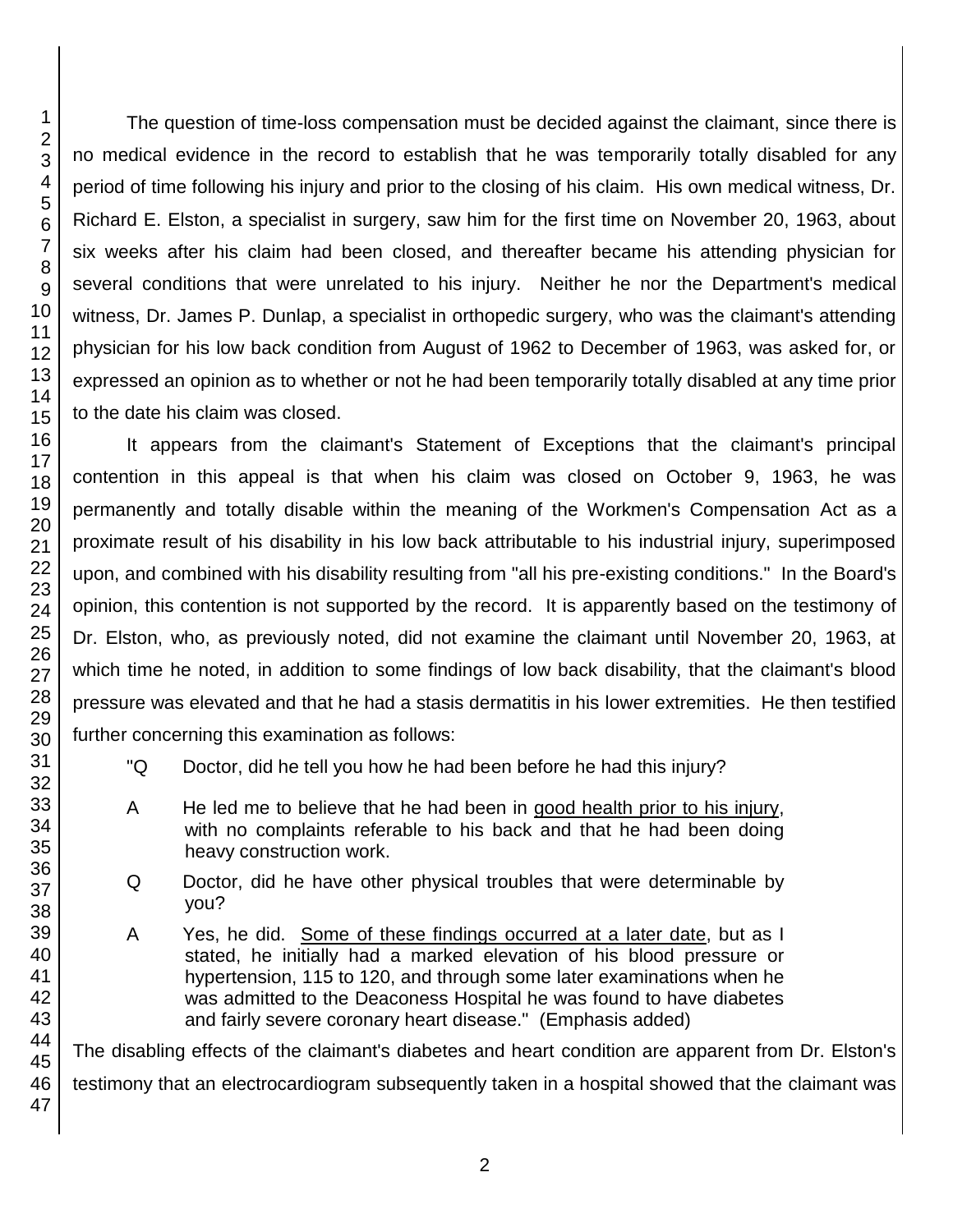The question of time-loss compensation must be decided against the claimant, since there is no medical evidence in the record to establish that he was temporarily totally disabled for any period of time following his injury and prior to the closing of his claim. His own medical witness, Dr. Richard E. Elston, a specialist in surgery, saw him for the first time on November 20, 1963, about six weeks after his claim had been closed, and thereafter became his attending physician for several conditions that were unrelated to his injury. Neither he nor the Department's medical witness, Dr. James P. Dunlap, a specialist in orthopedic surgery, who was the claimant's attending physician for his low back condition from August of 1962 to December of 1963, was asked for, or expressed an opinion as to whether or not he had been temporarily totally disabled at any time prior to the date his claim was closed.

It appears from the claimant's Statement of Exceptions that the claimant's principal contention in this appeal is that when his claim was closed on October 9, 1963, he was permanently and totally disable within the meaning of the Workmen's Compensation Act as a proximate result of his disability in his low back attributable to his industrial injury, superimposed upon, and combined with his disability resulting from "all his pre-existing conditions." In the Board's opinion, this contention is not supported by the record. It is apparently based on the testimony of Dr. Elston, who, as previously noted, did not examine the claimant until November 20, 1963, at which time he noted, in addition to some findings of low back disability, that the claimant's blood pressure was elevated and that he had a stasis dermatitis in his lower extremities. He then testified further concerning this examination as follows:

- "Q Doctor, did he tell you how he had been before he had this injury?
- A He led me to believe that he had been in good health prior to his injury, with no complaints referable to his back and that he had been doing heavy construction work.
- Q Doctor, did he have other physical troubles that were determinable by you?
- A Yes, he did. Some of these findings occurred at a later date, but as I stated, he initially had a marked elevation of his blood pressure or hypertension, 115 to 120, and through some later examinations when he was admitted to the Deaconess Hospital he was found to have diabetes and fairly severe coronary heart disease." (Emphasis added)

The disabling effects of the claimant's diabetes and heart condition are apparent from Dr. Elston's testimony that an electrocardiogram subsequently taken in a hospital showed that the claimant was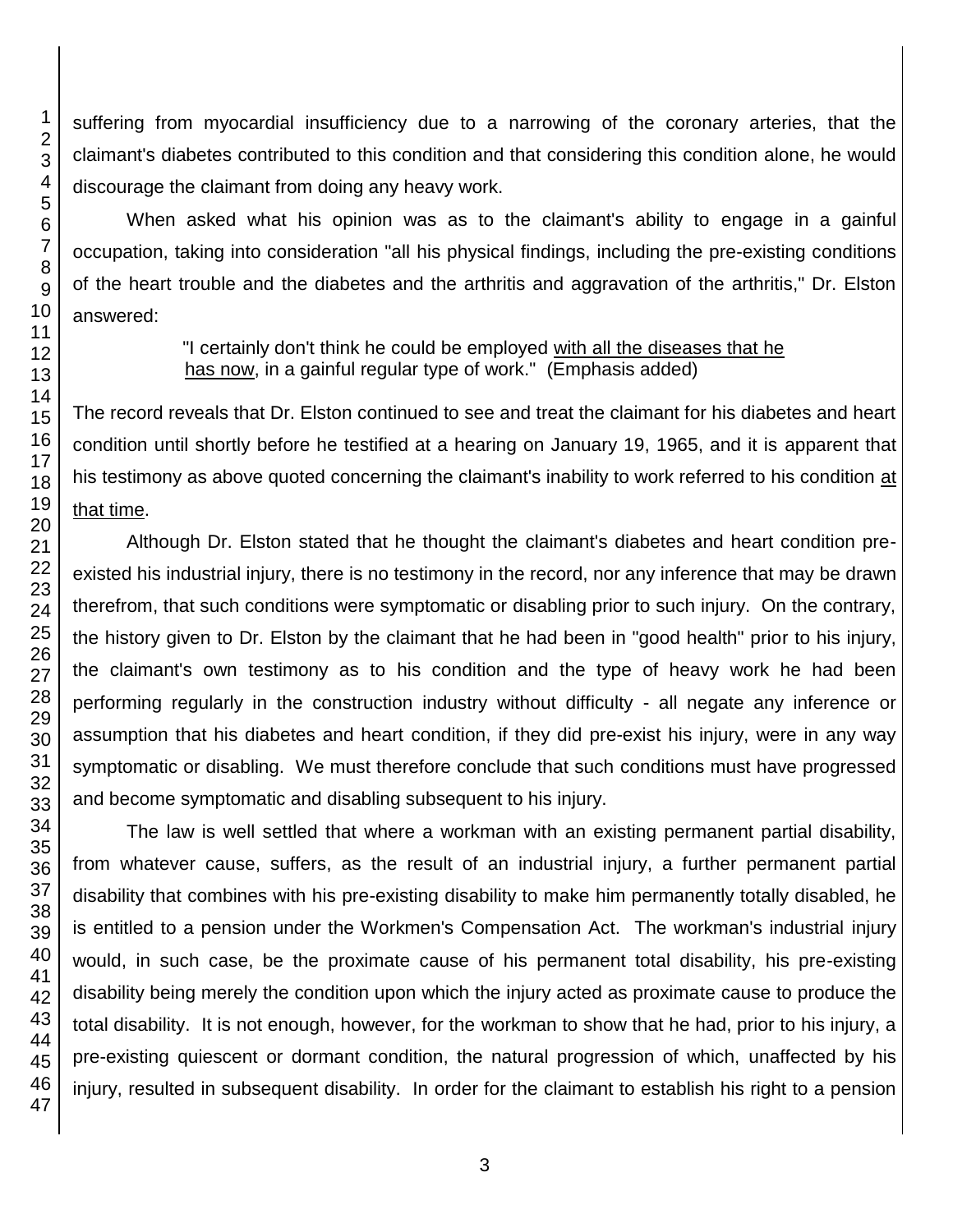suffering from myocardial insufficiency due to a narrowing of the coronary arteries, that the claimant's diabetes contributed to this condition and that considering this condition alone, he would discourage the claimant from doing any heavy work.

When asked what his opinion was as to the claimant's ability to engage in a gainful occupation, taking into consideration "all his physical findings, including the pre-existing conditions of the heart trouble and the diabetes and the arthritis and aggravation of the arthritis," Dr. Elston answered:

> "I certainly don't think he could be employed with all the diseases that he has now, in a gainful regular type of work." (Emphasis added)

The record reveals that Dr. Elston continued to see and treat the claimant for his diabetes and heart condition until shortly before he testified at a hearing on January 19, 1965, and it is apparent that his testimony as above quoted concerning the claimant's inability to work referred to his condition at that time.

Although Dr. Elston stated that he thought the claimant's diabetes and heart condition preexisted his industrial injury, there is no testimony in the record, nor any inference that may be drawn therefrom, that such conditions were symptomatic or disabling prior to such injury. On the contrary, the history given to Dr. Elston by the claimant that he had been in "good health" prior to his injury, the claimant's own testimony as to his condition and the type of heavy work he had been performing regularly in the construction industry without difficulty - all negate any inference or assumption that his diabetes and heart condition, if they did pre-exist his injury, were in any way symptomatic or disabling. We must therefore conclude that such conditions must have progressed and become symptomatic and disabling subsequent to his injury.

The law is well settled that where a workman with an existing permanent partial disability, from whatever cause, suffers, as the result of an industrial injury, a further permanent partial disability that combines with his pre-existing disability to make him permanently totally disabled, he is entitled to a pension under the Workmen's Compensation Act. The workman's industrial injury would, in such case, be the proximate cause of his permanent total disability, his pre-existing disability being merely the condition upon which the injury acted as proximate cause to produce the total disability. It is not enough, however, for the workman to show that he had, prior to his injury, a pre-existing quiescent or dormant condition, the natural progression of which, unaffected by his injury, resulted in subsequent disability. In order for the claimant to establish his right to a pension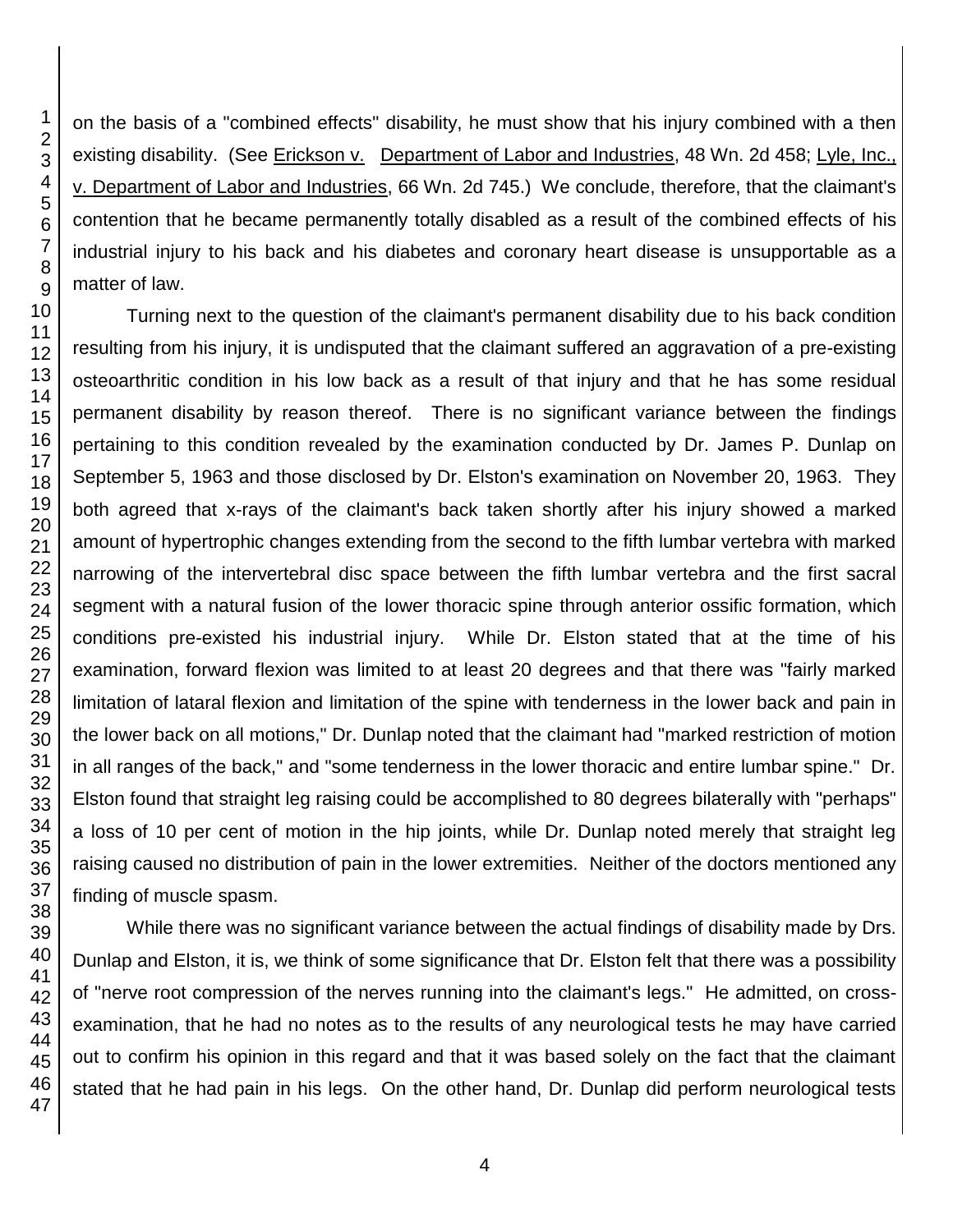on the basis of a "combined effects" disability, he must show that his injury combined with a then existing disability. (See Erickson v. Department of Labor and Industries, 48 Wn. 2d 458; Lyle, Inc., v. Department of Labor and Industries, 66 Wn. 2d 745.) We conclude, therefore, that the claimant's contention that he became permanently totally disabled as a result of the combined effects of his industrial injury to his back and his diabetes and coronary heart disease is unsupportable as a matter of law.

Turning next to the question of the claimant's permanent disability due to his back condition resulting from his injury, it is undisputed that the claimant suffered an aggravation of a pre-existing osteoarthritic condition in his low back as a result of that injury and that he has some residual permanent disability by reason thereof. There is no significant variance between the findings pertaining to this condition revealed by the examination conducted by Dr. James P. Dunlap on September 5, 1963 and those disclosed by Dr. Elston's examination on November 20, 1963. They both agreed that x-rays of the claimant's back taken shortly after his injury showed a marked amount of hypertrophic changes extending from the second to the fifth lumbar vertebra with marked narrowing of the intervertebral disc space between the fifth lumbar vertebra and the first sacral segment with a natural fusion of the lower thoracic spine through anterior ossific formation, which conditions pre-existed his industrial injury. While Dr. Elston stated that at the time of his examination, forward flexion was limited to at least 20 degrees and that there was "fairly marked limitation of lataral flexion and limitation of the spine with tenderness in the lower back and pain in the lower back on all motions," Dr. Dunlap noted that the claimant had "marked restriction of motion in all ranges of the back," and "some tenderness in the lower thoracic and entire lumbar spine." Dr. Elston found that straight leg raising could be accomplished to 80 degrees bilaterally with "perhaps" a loss of 10 per cent of motion in the hip joints, while Dr. Dunlap noted merely that straight leg raising caused no distribution of pain in the lower extremities. Neither of the doctors mentioned any finding of muscle spasm.

While there was no significant variance between the actual findings of disability made by Drs. Dunlap and Elston, it is, we think of some significance that Dr. Elston felt that there was a possibility of "nerve root compression of the nerves running into the claimant's legs." He admitted, on crossexamination, that he had no notes as to the results of any neurological tests he may have carried out to confirm his opinion in this regard and that it was based solely on the fact that the claimant stated that he had pain in his legs. On the other hand, Dr. Dunlap did perform neurological tests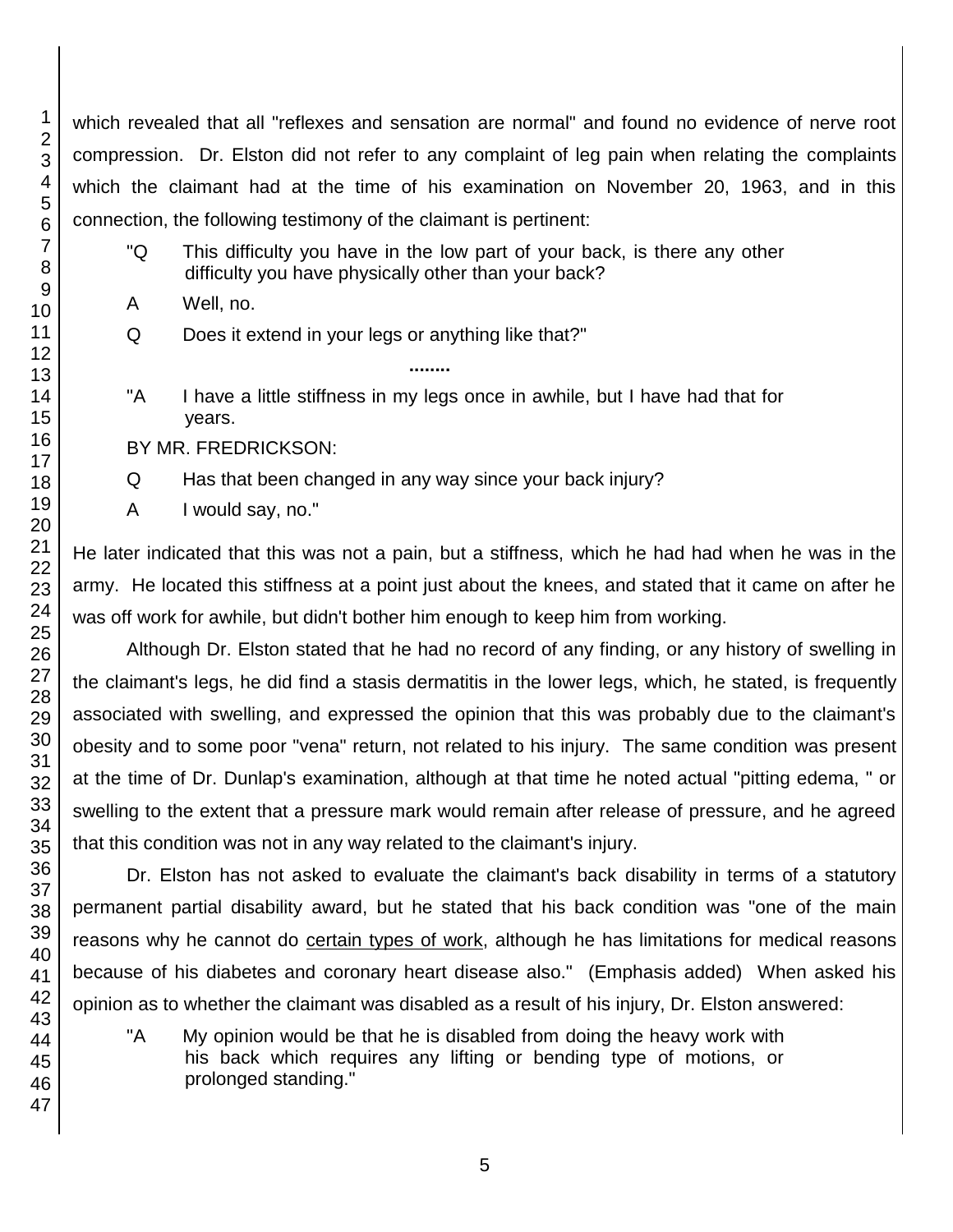which revealed that all "reflexes and sensation are normal" and found no evidence of nerve root compression. Dr. Elston did not refer to any complaint of leg pain when relating the complaints which the claimant had at the time of his examination on November 20, 1963, and in this connection, the following testimony of the claimant is pertinent:

- "Q This difficulty you have in the low part of your back, is there any other difficulty you have physically other than your back?
- A Well, no.
- Q Does it extend in your legs or anything like that?"
- "A I have a little stiffness in my legs once in awhile, but I have had that for years.

**........**

- BY MR. FREDRICKSON:
- Q Has that been changed in any way since your back injury?
- A I would say, no."

He later indicated that this was not a pain, but a stiffness, which he had had when he was in the army. He located this stiffness at a point just about the knees, and stated that it came on after he was off work for awhile, but didn't bother him enough to keep him from working.

Although Dr. Elston stated that he had no record of any finding, or any history of swelling in the claimant's legs, he did find a stasis dermatitis in the lower legs, which, he stated, is frequently associated with swelling, and expressed the opinion that this was probably due to the claimant's obesity and to some poor "vena" return, not related to his injury. The same condition was present at the time of Dr. Dunlap's examination, although at that time he noted actual "pitting edema, " or swelling to the extent that a pressure mark would remain after release of pressure, and he agreed that this condition was not in any way related to the claimant's injury.

Dr. Elston has not asked to evaluate the claimant's back disability in terms of a statutory permanent partial disability award, but he stated that his back condition was "one of the main reasons why he cannot do certain types of work, although he has limitations for medical reasons because of his diabetes and coronary heart disease also." (Emphasis added) When asked his opinion as to whether the claimant was disabled as a result of his injury, Dr. Elston answered:

"A My opinion would be that he is disabled from doing the heavy work with his back which requires any lifting or bending type of motions, or prolonged standing."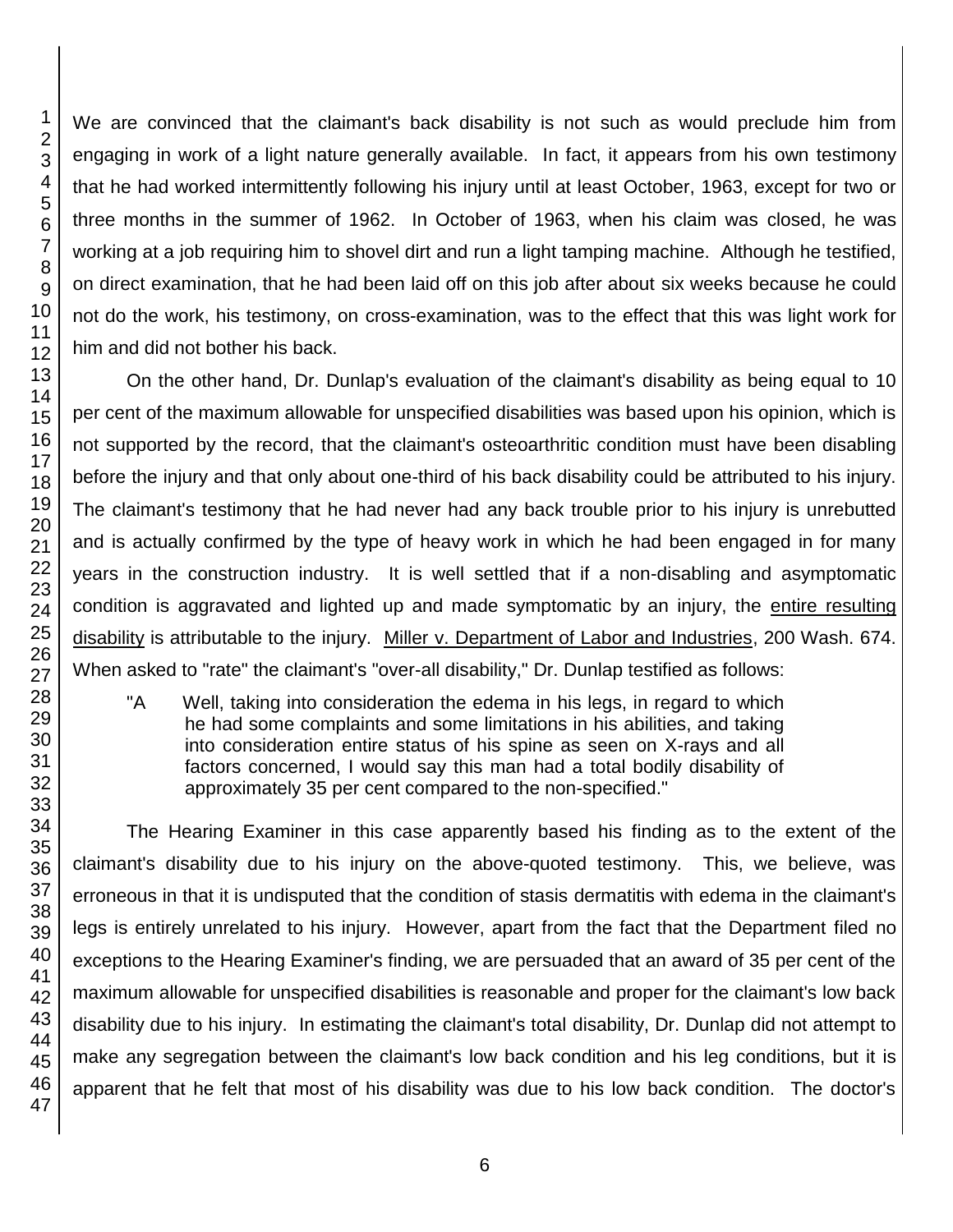We are convinced that the claimant's back disability is not such as would preclude him from engaging in work of a light nature generally available. In fact, it appears from his own testimony that he had worked intermittently following his injury until at least October, 1963, except for two or three months in the summer of 1962. In October of 1963, when his claim was closed, he was working at a job requiring him to shovel dirt and run a light tamping machine. Although he testified, on direct examination, that he had been laid off on this job after about six weeks because he could not do the work, his testimony, on cross-examination, was to the effect that this was light work for him and did not bother his back.

On the other hand, Dr. Dunlap's evaluation of the claimant's disability as being equal to 10 per cent of the maximum allowable for unspecified disabilities was based upon his opinion, which is not supported by the record, that the claimant's osteoarthritic condition must have been disabling before the injury and that only about one-third of his back disability could be attributed to his injury. The claimant's testimony that he had never had any back trouble prior to his injury is unrebutted and is actually confirmed by the type of heavy work in which he had been engaged in for many years in the construction industry. It is well settled that if a non-disabling and asymptomatic condition is aggravated and lighted up and made symptomatic by an injury, the entire resulting disability is attributable to the injury. Miller v. Department of Labor and Industries, 200 Wash. 674. When asked to "rate" the claimant's "over-all disability," Dr. Dunlap testified as follows:

"A Well, taking into consideration the edema in his legs, in regard to which he had some complaints and some limitations in his abilities, and taking into consideration entire status of his spine as seen on X-rays and all factors concerned, I would say this man had a total bodily disability of approximately 35 per cent compared to the non-specified."

The Hearing Examiner in this case apparently based his finding as to the extent of the claimant's disability due to his injury on the above-quoted testimony. This, we believe, was erroneous in that it is undisputed that the condition of stasis dermatitis with edema in the claimant's legs is entirely unrelated to his injury. However, apart from the fact that the Department filed no exceptions to the Hearing Examiner's finding, we are persuaded that an award of 35 per cent of the maximum allowable for unspecified disabilities is reasonable and proper for the claimant's low back disability due to his injury. In estimating the claimant's total disability, Dr. Dunlap did not attempt to make any segregation between the claimant's low back condition and his leg conditions, but it is apparent that he felt that most of his disability was due to his low back condition. The doctor's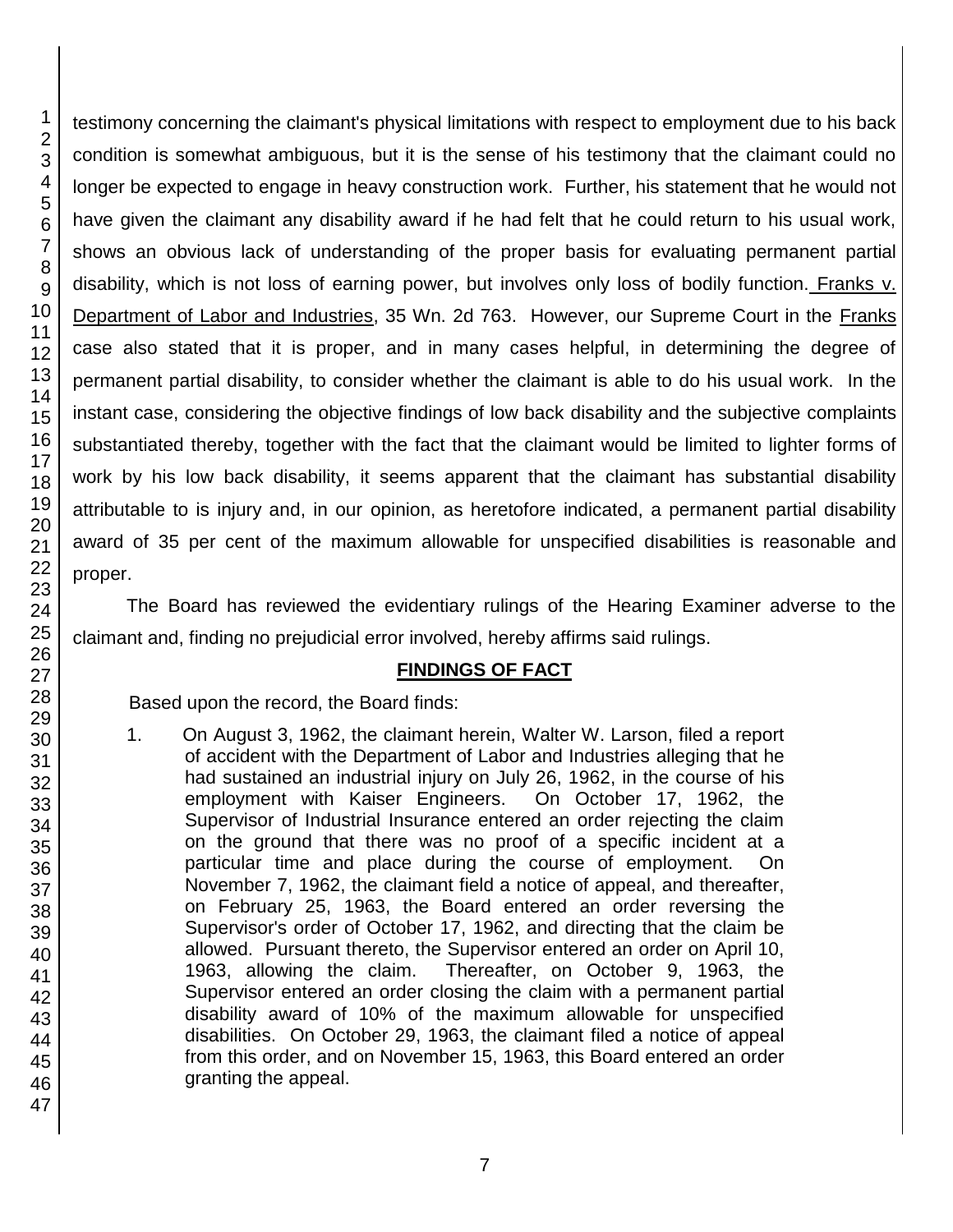testimony concerning the claimant's physical limitations with respect to employment due to his back condition is somewhat ambiguous, but it is the sense of his testimony that the claimant could no longer be expected to engage in heavy construction work. Further, his statement that he would not have given the claimant any disability award if he had felt that he could return to his usual work, shows an obvious lack of understanding of the proper basis for evaluating permanent partial disability, which is not loss of earning power, but involves only loss of bodily function. Franks v. Department of Labor and Industries, 35 Wn. 2d 763. However, our Supreme Court in the Franks case also stated that it is proper, and in many cases helpful, in determining the degree of permanent partial disability, to consider whether the claimant is able to do his usual work. In the instant case, considering the objective findings of low back disability and the subjective complaints substantiated thereby, together with the fact that the claimant would be limited to lighter forms of work by his low back disability, it seems apparent that the claimant has substantial disability attributable to is injury and, in our opinion, as heretofore indicated, a permanent partial disability award of 35 per cent of the maximum allowable for unspecified disabilities is reasonable and proper.

The Board has reviewed the evidentiary rulings of the Hearing Examiner adverse to the claimant and, finding no prejudicial error involved, hereby affirms said rulings.

## **FINDINGS OF FACT**

Based upon the record, the Board finds:

1. On August 3, 1962, the claimant herein, Walter W. Larson, filed a report of accident with the Department of Labor and Industries alleging that he had sustained an industrial injury on July 26, 1962, in the course of his employment with Kaiser Engineers. On October 17, 1962, the Supervisor of Industrial Insurance entered an order rejecting the claim on the ground that there was no proof of a specific incident at a particular time and place during the course of employment. On November 7, 1962, the claimant field a notice of appeal, and thereafter, on February 25, 1963, the Board entered an order reversing the Supervisor's order of October 17, 1962, and directing that the claim be allowed. Pursuant thereto, the Supervisor entered an order on April 10, 1963, allowing the claim. Thereafter, on October 9, 1963, the Supervisor entered an order closing the claim with a permanent partial disability award of 10% of the maximum allowable for unspecified disabilities. On October 29, 1963, the claimant filed a notice of appeal from this order, and on November 15, 1963, this Board entered an order granting the appeal.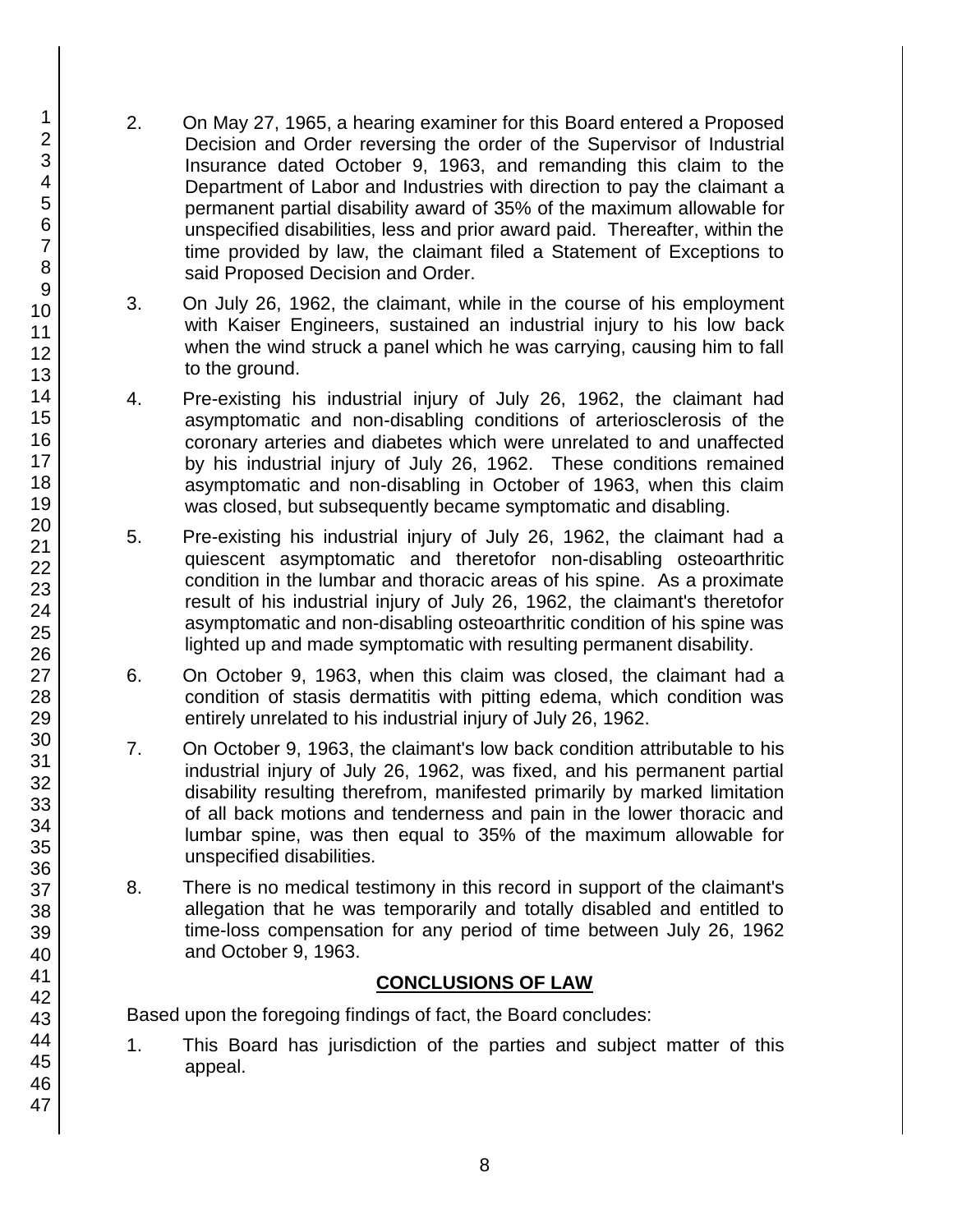- 2. On May 27, 1965, a hearing examiner for this Board entered a Proposed Decision and Order reversing the order of the Supervisor of Industrial Insurance dated October 9, 1963, and remanding this claim to the Department of Labor and Industries with direction to pay the claimant a permanent partial disability award of 35% of the maximum allowable for unspecified disabilities, less and prior award paid. Thereafter, within the time provided by law, the claimant filed a Statement of Exceptions to said Proposed Decision and Order.
- 3. On July 26, 1962, the claimant, while in the course of his employment with Kaiser Engineers, sustained an industrial injury to his low back when the wind struck a panel which he was carrying, causing him to fall to the ground.
- 4. Pre-existing his industrial injury of July 26, 1962, the claimant had asymptomatic and non-disabling conditions of arteriosclerosis of the coronary arteries and diabetes which were unrelated to and unaffected by his industrial injury of July 26, 1962. These conditions remained asymptomatic and non-disabling in October of 1963, when this claim was closed, but subsequently became symptomatic and disabling.
- 5. Pre-existing his industrial injury of July 26, 1962, the claimant had a quiescent asymptomatic and theretofor non-disabling osteoarthritic condition in the lumbar and thoracic areas of his spine. As a proximate result of his industrial injury of July 26, 1962, the claimant's theretofor asymptomatic and non-disabling osteoarthritic condition of his spine was lighted up and made symptomatic with resulting permanent disability.
- 6. On October 9, 1963, when this claim was closed, the claimant had a condition of stasis dermatitis with pitting edema, which condition was entirely unrelated to his industrial injury of July 26, 1962.
- 7. On October 9, 1963, the claimant's low back condition attributable to his industrial injury of July 26, 1962, was fixed, and his permanent partial disability resulting therefrom, manifested primarily by marked limitation of all back motions and tenderness and pain in the lower thoracic and lumbar spine, was then equal to 35% of the maximum allowable for unspecified disabilities.
- 8. There is no medical testimony in this record in support of the claimant's allegation that he was temporarily and totally disabled and entitled to time-loss compensation for any period of time between July 26, 1962 and October 9, 1963.

## **CONCLUSIONS OF LAW**

Based upon the foregoing findings of fact, the Board concludes:

1. This Board has jurisdiction of the parties and subject matter of this appeal.